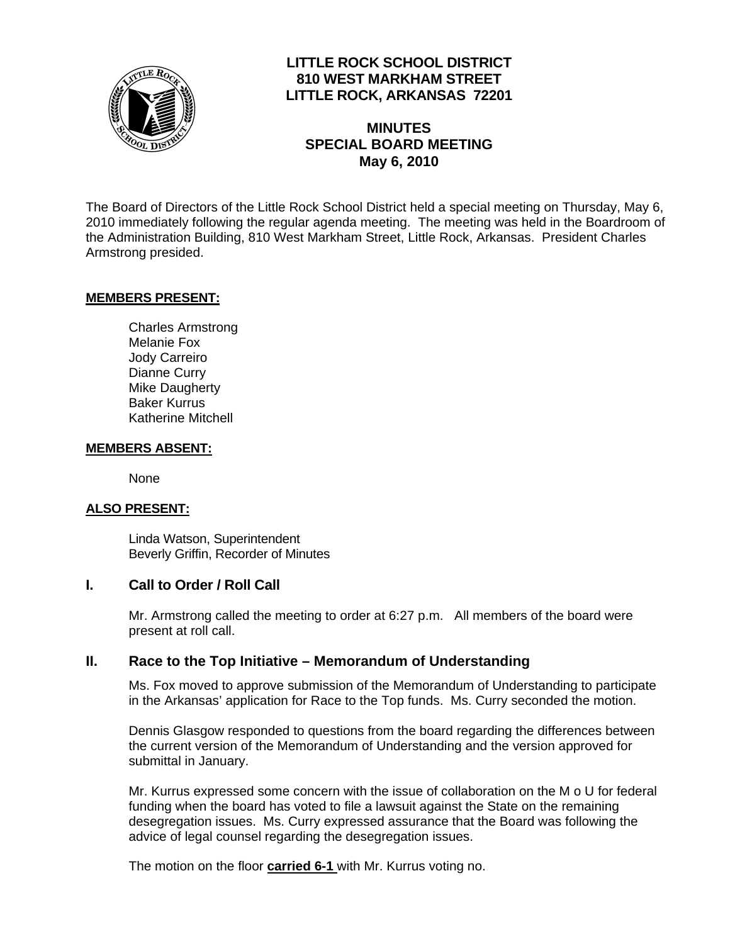

## **LITTLE ROCK SCHOOL DISTRICT 810 WEST MARKHAM STREET LITTLE ROCK, ARKANSAS 72201**

## **MINUTES SPECIAL BOARD MEETING May 6, 2010**

The Board of Directors of the Little Rock School District held a special meeting on Thursday, May 6, 2010 immediately following the regular agenda meeting. The meeting was held in the Boardroom of the Administration Building, 810 West Markham Street, Little Rock, Arkansas. President Charles Armstrong presided.

### **MEMBERS PRESENT:**

Charles Armstrong Melanie Fox Jody Carreiro Dianne Curry Mike Daugherty Baker Kurrus Katherine Mitchell

#### **MEMBERS ABSENT:**

None

#### **ALSO PRESENT:**

 Linda Watson, Superintendent Beverly Griffin, Recorder of Minutes

#### **I. Call to Order / Roll Call**

Mr. Armstrong called the meeting to order at 6:27 p.m. All members of the board were present at roll call.

### **II. Race to the Top Initiative – Memorandum of Understanding**

Ms. Fox moved to approve submission of the Memorandum of Understanding to participate in the Arkansas' application for Race to the Top funds. Ms. Curry seconded the motion.

Dennis Glasgow responded to questions from the board regarding the differences between the current version of the Memorandum of Understanding and the version approved for submittal in January.

Mr. Kurrus expressed some concern with the issue of collaboration on the M o U for federal funding when the board has voted to file a lawsuit against the State on the remaining desegregation issues. Ms. Curry expressed assurance that the Board was following the advice of legal counsel regarding the desegregation issues.

The motion on the floor **carried 6-1** with Mr. Kurrus voting no.